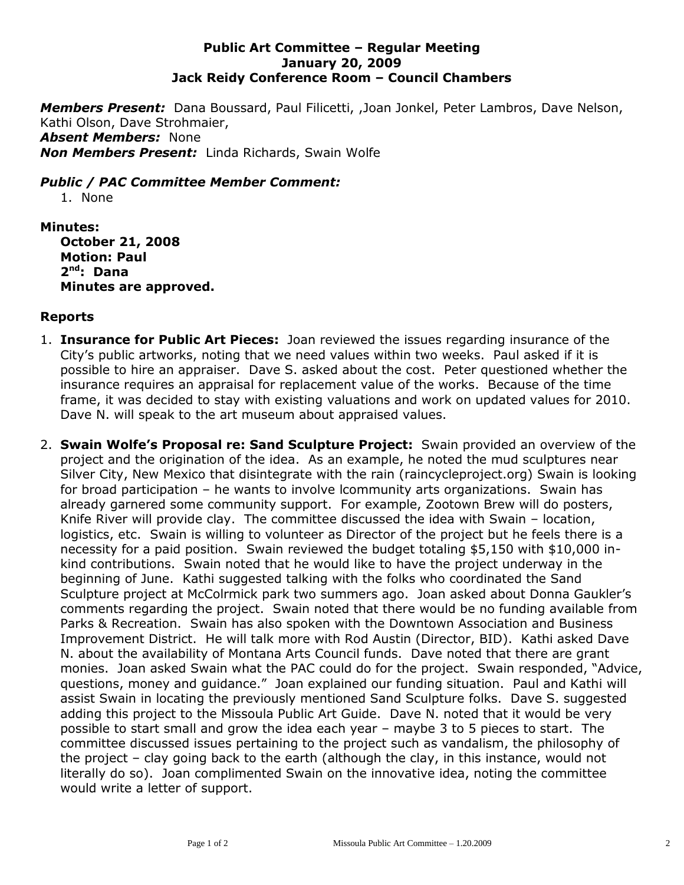## **Public Art Committee – Regular Meeting January 20, 2009 Jack Reidy Conference Room – Council Chambers**

*Members Present:* Dana Boussard, Paul Filicetti, ,Joan Jonkel, Peter Lambros, Dave Nelson, Kathi Olson, Dave Strohmaier, *Absent Members:* None *Non Members Present:* Linda Richards, Swain Wolfe

## *Public / PAC Committee Member Comment:*

1. None

## **Minutes:**

**October 21, 2008 Motion: Paul 2 nd: Dana Minutes are approved.**

## **Reports**

- 1. **Insurance for Public Art Pieces:** Joan reviewed the issues regarding insurance of the City's public artworks, noting that we need values within two weeks. Paul asked if it is possible to hire an appraiser. Dave S. asked about the cost. Peter questioned whether the insurance requires an appraisal for replacement value of the works. Because of the time frame, it was decided to stay with existing valuations and work on updated values for 2010. Dave N. will speak to the art museum about appraised values.
- 2. **Swain Wolfe's Proposal re: Sand Sculpture Project:** Swain provided an overview of the project and the origination of the idea. As an example, he noted the mud sculptures near Silver City, New Mexico that disintegrate with the rain (raincycleproject.org) Swain is looking for broad participation – he wants to involve lcommunity arts organizations. Swain has already garnered some community support. For example, Zootown Brew will do posters, Knife River will provide clay. The committee discussed the idea with Swain – location, logistics, etc. Swain is willing to volunteer as Director of the project but he feels there is a necessity for a paid position. Swain reviewed the budget totaling \$5,150 with \$10,000 inkind contributions. Swain noted that he would like to have the project underway in the beginning of June. Kathi suggested talking with the folks who coordinated the Sand Sculpture project at McColrmick park two summers ago. Joan asked about Donna Gaukler's comments regarding the project. Swain noted that there would be no funding available from Parks & Recreation. Swain has also spoken with the Downtown Association and Business Improvement District. He will talk more with Rod Austin (Director, BID). Kathi asked Dave N. about the availability of Montana Arts Council funds. Dave noted that there are grant monies. Joan asked Swain what the PAC could do for the project. Swain responded, "Advice, questions, money and guidance." Joan explained our funding situation. Paul and Kathi will assist Swain in locating the previously mentioned Sand Sculpture folks. Dave S. suggested adding this project to the Missoula Public Art Guide. Dave N. noted that it would be very possible to start small and grow the idea each year – maybe 3 to 5 pieces to start. The committee discussed issues pertaining to the project such as vandalism, the philosophy of the project – clay going back to the earth (although the clay, in this instance, would not literally do so). Joan complimented Swain on the innovative idea, noting the committee would write a letter of support.